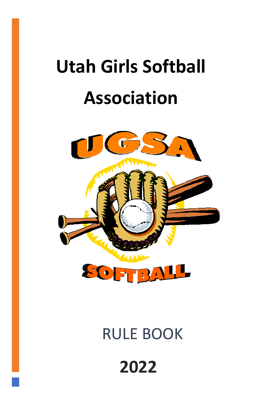# **Utah Girls Softball Association**



## RULE BOOK

## **2022**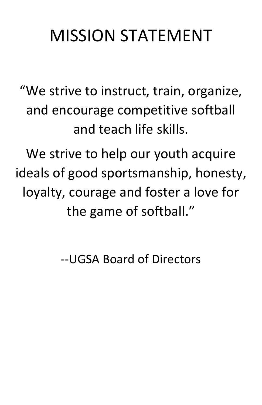## MISSION STATEMENT

"We strive to instruct, train, organize, and encourage competitive softball and teach life skills.

We strive to help our youth acquire ideals of good sportsmanship, honesty, loyalty, courage and foster a love for the game of softball."

--UGSA Board of Directors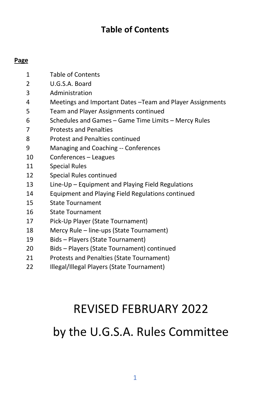#### **Table of Contents**

#### **Page**

- Table of Contents
- U.G.S.A. Board
- Administration
- Meetings and Important Dates –Team and Player Assignments
- Team and Player Assignments continued
- Schedules and Games Game Time Limits Mercy Rules
- Protests and Penalties
- Protest and Penalties continued
- Managing and Coaching -- Conferences
- Conferences Leagues
- Special Rules
- Special Rules continued
- Line-Up Equipment and Playing Field Regulations
- Equipment and Playing Field Regulations continued
- State Tournament
- State Tournament
- Pick-Up Player (State Tournament)
- Mercy Rule line-ups (State Tournament)
- Bids Players (State Tournament)
- Bids Players (State Tournament) continued
- Protests and Penalties (State Tournament)
- Illegal/Illegal Players (State Tournament)

### REVISED FEBRUARY 2022

### by the U.G.S.A. Rules Committee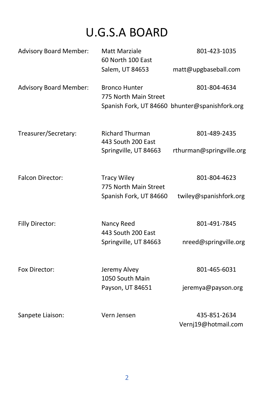### U.G.S.A BOARD

| <b>Advisory Board Member:</b> | Matt Marziale<br>60 North 100 East<br>Salem, UT 84653                 | 801-423-1035<br>matt@upgbaseball.com                           |
|-------------------------------|-----------------------------------------------------------------------|----------------------------------------------------------------|
| <b>Advisory Board Member:</b> | <b>Bronco Hunter</b><br>775 North Main Street                         | 801-804-4634<br>Spanish Fork, UT 84660 bhunter@spanishfork.org |
| Treasurer/Secretary:          | <b>Richard Thurman</b><br>443 South 200 East<br>Springville, UT 84663 | 801-489-2435<br>rthurman@springville.org                       |
| <b>Falcon Director:</b>       | <b>Tracy Wiley</b><br>775 North Main Street<br>Spanish Fork, UT 84660 | 801-804-4623<br>twiley@spanishfork.org                         |
| Filly Director:               | Nancy Reed<br>443 South 200 East<br>Springville, UT 84663             | 801-491-7845<br>nreed@springville.org                          |
| Fox Director:                 | Jeremy Alvey<br>1050 South Main<br>Payson, UT 84651                   | 801-465-6031<br>jeremya@payson.org                             |
| Sanpete Liaison:              | Vern Jensen                                                           | 435-851-2634<br>Vernj19@hotmail.com                            |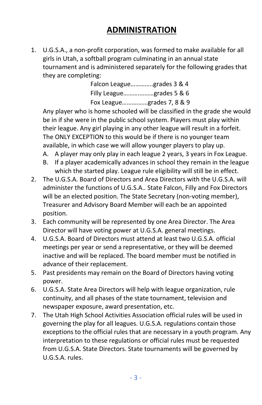#### **ADMINISTRATION**

1. U.G.S.A., a non-profit corporation, was formed to make available for all girls in Utah, a softball program culminating in an annual state tournament and is administered separately for the following grades that they are completing:

> Falcon League…………..grades 3 & 4 Filly League……….………grades 5 & 6 Fox League…….………grades 7, 8 & 9

Any player who is home schooled will be classified in the grade she would be in if she were in the public school system. Players must play within their league. Any girl playing in any other league will result in a forfeit. The ONLY EXCEPTION to this would be if there is no younger team available, in which case we will allow younger players to play up.

A. A player may only play in each league 2 years, 3 years in Fox League.

- B. If a player academically advances in school they remain in the league which the started play. League rule eligibility will still be in effect.
- 2. The U.G.S.A. Board of Directors and Area Directors with the U.G.S.A. will administer the functions of U.G.S.A.. State Falcon, Filly and Fox Directors will be an elected position. The State Secretary (non-voting member), Treasurer and Advisory Board Member will each be an appointed position.
- 3. Each community will be represented by one Area Director. The Area Director will have voting power at U.G.S.A. general meetings.
- 4. U.G.S.A. Board of Directors must attend at least two U.G.S.A. official meetings per year or send a representative, or they will be deemed inactive and will be replaced. The board member must be notified in advance of their replacement.
- 5. Past presidents may remain on the Board of Directors having voting power.
- 6. U.G.S.A. State Area Directors will help with league organization, rule continuity, and all phases of the state tournament, television and newspaper exposure, award presentation, etc.
- 7. The Utah High School Activities Association official rules will be used in governing the play for all leagues. U.G.S.A. regulations contain those exceptions to the official rules that are necessary in a youth program. Any interpretation to these regulations or official rules must be requested from U.G.S.A. State Directors. State tournaments will be governed by U.G.S.A. rules.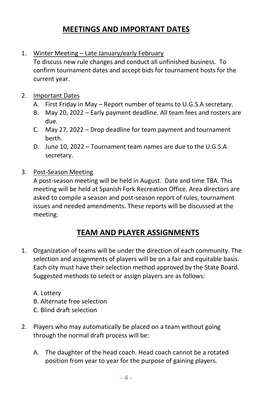#### **MEETINGS AND IMPORTANT DATES**

1. Winter Meeting – Late January/early February

To discuss new rule changes and conduct all unfinished business. To confirm tournament dates and accept bids for tournament hosts for the current year.

- 2. Important Dates
	- A. First Friday in May Report number of teams to U.G.S.A secretary.
	- B. May 20, 2022 Early payment deadline. All team fees and rosters are due.
	- C. May 27, 2022 Drop deadline for team payment and tournament berth.
	- D. June 10, 2022 Tournament team names are due to the U.G.S.A secretary.
- 3. Post-Season Meeting

A post-season meeting will be held in August. Date and time TBA. This meeting will be held at Spanish Fork Recreation Office. Area directors are asked to compile a season and post-season report of rules, tournament issues and needed amendments. These reports will be discussed at the meeting.

#### **TEAM AND PLAYER ASSIGNMENTS**

1. Organization of teams will be under the direction of each community. The selection and assignments of players will be on a fair and equitable basis. Each city must have their selection method approved by the State Board. Suggested methods to select or assign players are as follows:

A. Lottery B. Alternate free selection

- C. Blind draft selection
- 2. Players who may automatically be placed on a team without going through the normal draft process will be:
	- A. The daughter of the head coach. Head coach cannot be a rotated position from year to year for the purpose of gaining players.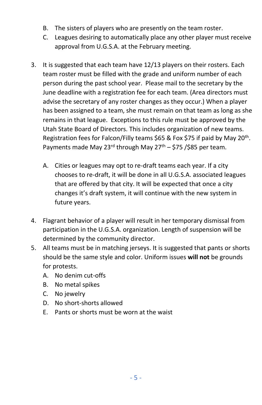- B. The sisters of players who are presently on the team roster.
- C. Leagues desiring to automatically place any other player must receive approval from U.G.S.A. at the February meeting.
- 3. It is suggested that each team have 12/13 players on their rosters. Each team roster must be filled with the grade and uniform number of each person during the past school year. Please mail to the secretary by the June deadline with a registration fee for each team. (Area directors must advise the secretary of any roster changes as they occur.) When a player has been assigned to a team, she must remain on that team as long as she remains in that league. Exceptions to this rule must be approved by the Utah State Board of Directors. This includes organization of new teams. Registration fees for Falcon/Filly teams \$65 & Fox \$75 if paid by May 20<sup>th</sup>. Payments made May 23<sup>rd</sup> through May 27<sup>th</sup> – \$75 /\$85 per team.
	- A. Cities or leagues may opt to re-draft teams each year. If a city chooses to re-draft, it will be done in all U.G.S.A. associated leagues that are offered by that city. It will be expected that once a city changes it's draft system, it will continue with the new system in future years.
- 4. Flagrant behavior of a player will result in her temporary dismissal from participation in the U.G.S.A. organization. Length of suspension will be determined by the community director.
- 5. All teams must be in matching jerseys. It is suggested that pants or shorts should be the same style and color. Uniform issues **will not** be grounds for protests.
	- A. No denim cut-offs
	- B. No metal spikes
	- C. No jewelry
	- D. No short-shorts allowed
	- E. Pants or shorts must be worn at the waist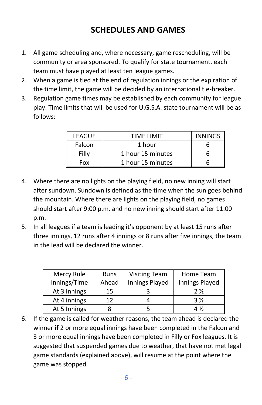#### **SCHEDULES AND GAMES**

- 1. All game scheduling and, where necessary, game rescheduling, will be community or area sponsored. To qualify for state tournament, each team must have played at least ten league games.
- 2. When a game is tied at the end of regulation innings or the expiration of the time limit, the game will be decided by an international tie-breaker.
- 3. Regulation game times may be established by each community for league play. Time limits that will be used for U.G.S.A. state tournament will be as follows:

| <b>LEAGUE</b> | TIME LIMIT        | <b>INNINGS</b> |
|---------------|-------------------|----------------|
| Falcon        | 1 hour            |                |
| Filly         | 1 hour 15 minutes |                |
| Fox           | 1 hour 15 minutes |                |

- 4. Where there are no lights on the playing field, no new inning will start after sundown. Sundown is defined as the time when the sun goes behind the mountain. Where there are lights on the playing field, no games should start after 9:00 p.m. and no new inning should start after 11:00 p.m.
- 5. In all leagues if a team is leading it's opponent by at least 15 runs after three innings, 12 runs after 4 innings or 8 runs after five innings, the team in the lead will be declared the winner.

| Mercy Rule   | <b>Runs</b> | <b>Visiting Team</b> | Home Team      |
|--------------|-------------|----------------------|----------------|
| Innings/Time | Ahead       | Innings Played       | Innings Played |
| At 3 Innings | 15          |                      | 2 %            |
| At 4 innings | 12          |                      | $3\%$          |
| At 5 Innings |             |                      | $4\frac{1}{2}$ |

6. If the game is called for weather reasons, the team ahead is declared the winner **if** 2 or more equal innings have been completed in the Falcon and 3 or more equal innings have been completed in Filly or Fox leagues. It is suggested that suspended games due to weather, that have not met legal game standards (explained above), will resume at the point where the game was stopped.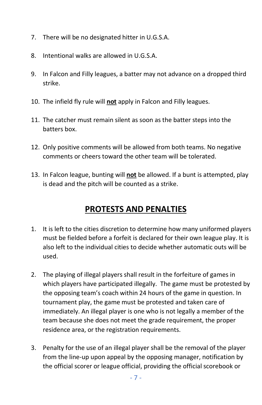- 7. There will be no designated hitter in U.G.S.A.
- 8. Intentional walks are allowed in U.G.S.A.
- 9. In Falcon and Filly leagues, a batter may not advance on a dropped third strike.
- 10. The infield fly rule will **not** apply in Falcon and Filly leagues.
- 11. The catcher must remain silent as soon as the batter steps into the batters box.
- 12. Only positive comments will be allowed from both teams. No negative comments or cheers toward the other team will be tolerated.
- 13. In Falcon league, bunting will **not** be allowed. If a bunt is attempted, play is dead and the pitch will be counted as a strike.

#### **PROTESTS AND PENALTIES**

- 1. It is left to the cities discretion to determine how many uniformed players must be fielded before a forfeit is declared for their own league play. It is also left to the individual cities to decide whether automatic outs will be used.
- 2. The playing of illegal players shall result in the forfeiture of games in which players have participated illegally. The game must be protested by the opposing team's coach within 24 hours of the game in question. In tournament play, the game must be protested and taken care of immediately. An illegal player is one who is not legally a member of the team because she does not meet the grade requirement, the proper residence area, or the registration requirements.
- 3. Penalty for the use of an illegal player shall be the removal of the player from the line-up upon appeal by the opposing manager, notification by the official scorer or league official, providing the official scorebook or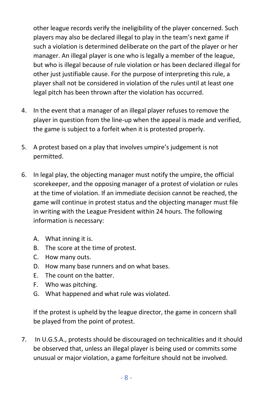other league records verify the ineligibility of the player concerned. Such players may also be declared illegal to play in the team's next game if such a violation is determined deliberate on the part of the player or her manager. An illegal player is one who is legally a member of the league, but who is illegal because of rule violation or has been declared illegal for other just justifiable cause. For the purpose of interpreting this rule, a player shall not be considered in violation of the rules until at least one legal pitch has been thrown after the violation has occurred.

- 4. In the event that a manager of an illegal player refuses to remove the player in question from the line-up when the appeal is made and verified, the game is subject to a forfeit when it is protested properly.
- 5. A protest based on a play that involves umpire's judgement is not permitted.
- 6. In legal play, the objecting manager must notify the umpire, the official scorekeeper, and the opposing manager of a protest of violation or rules at the time of violation. If an immediate decision cannot be reached, the game will continue in protest status and the objecting manager must file in writing with the League President within 24 hours. The following information is necessary:
	- A. What inning it is.
	- B. The score at the time of protest.
	- C. How many outs.
	- D. How many base runners and on what bases.
	- E. The count on the batter.
	- F. Who was pitching.
	- G. What happened and what rule was violated.

If the protest is upheld by the league director, the game in concern shall be played from the point of protest.

7. In U.G.S.A., protests should be discouraged on technicalities and it should be observed that, unless an illegal player is being used or commits some unusual or major violation, a game forfeiture should not be involved.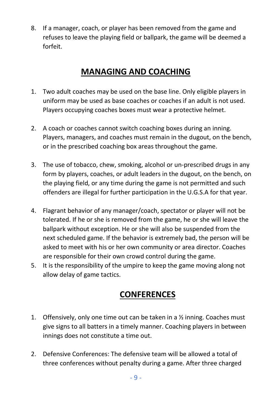8. If a manager, coach, or player has been removed from the game and refuses to leave the playing field or ballpark, the game will be deemed a forfeit.

#### **MANAGING AND COACHING**

- 1. Two adult coaches may be used on the base line. Only eligible players in uniform may be used as base coaches or coaches if an adult is not used. Players occupying coaches boxes must wear a protective helmet.
- 2. A coach or coaches cannot switch coaching boxes during an inning. Players, managers, and coaches must remain in the dugout, on the bench, or in the prescribed coaching box areas throughout the game.
- 3. The use of tobacco, chew, smoking, alcohol or un-prescribed drugs in any form by players, coaches, or adult leaders in the dugout, on the bench, on the playing field, or any time during the game is not permitted and such offenders are illegal for further participation in the U.G.S.A for that year.
- 4. Flagrant behavior of any manager/coach, spectator or player will not be tolerated. If he or she is removed from the game, he or she will leave the ballpark without exception. He or she will also be suspended from the next scheduled game. If the behavior is extremely bad, the person will be asked to meet with his or her own community or area director. Coaches are responsible for their own crowd control during the game.
- 5. It is the responsibility of the umpire to keep the game moving along not allow delay of game tactics.

#### **CONFERENCES**

- 1. Offensively, only one time out can be taken in a  $\frac{1}{2}$  inning. Coaches must give signs to all batters in a timely manner. Coaching players in between innings does not constitute a time out.
- 2. Defensive Conferences: The defensive team will be allowed a total of three conferences without penalty during a game. After three charged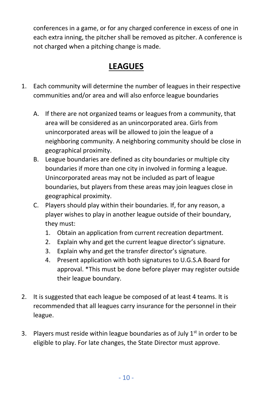conferences in a game, or for any charged conference in excess of one in each extra inning, the pitcher shall be removed as pitcher. A conference is not charged when a pitching change is made.

#### **LEAGUES**

- 1. Each community will determine the number of leagues in their respective communities and/or area and will also enforce league boundaries
	- A. If there are not organized teams or leagues from a community, that area will be considered as an unincorporated area. Girls from unincorporated areas will be allowed to join the league of a neighboring community. A neighboring community should be close in geographical proximity.
	- B. League boundaries are defined as city boundaries or multiple city boundaries if more than one city in involved in forming a league. Unincorporated areas may not be included as part of league boundaries, but players from these areas may join leagues close in geographical proximity.
	- C. Players should play within their boundaries. If, for any reason, a player wishes to play in another league outside of their boundary, they must:
		- 1. Obtain an application from current recreation department.
		- 2. Explain why and get the current league director's signature.
		- 3. Explain why and get the transfer director's signature.
		- 4. Present application with both signatures to U.G.S.A Board for approval. \*This must be done before player may register outside their league boundary.
- 2. It is suggested that each league be composed of at least 4 teams. It is recommended that all leagues carry insurance for the personnel in their league.
- 3. Players must reside within league boundaries as of July  $1<sup>st</sup>$  in order to be eligible to play. For late changes, the State Director must approve.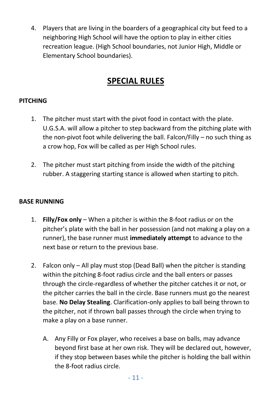4. Players that are living in the boarders of a geographical city but feed to a neighboring High School will have the option to play in either cities recreation league. (High School boundaries, not Junior High, Middle or Elementary School boundaries).

#### **SPECIAL RULES**

#### **PITCHING**

- 1. The pitcher must start with the pivot food in contact with the plate. U.G.S.A. will allow a pitcher to step backward from the pitching plate with the non-pivot foot while delivering the ball. Falcon/Filly – no such thing as a crow hop, Fox will be called as per High School rules.
- 2. The pitcher must start pitching from inside the width of the pitching rubber. A staggering starting stance is allowed when starting to pitch.

#### **BASE RUNNING**

- 1. **Filly/Fox only** When a pitcher is within the 8-foot radius or on the pitcher's plate with the ball in her possession (and not making a play on a runner), the base runner must **immediately attempt** to advance to the next base or return to the previous base.
- 2. Falcon only All play must stop (Dead Ball) when the pitcher is standing within the pitching 8-foot radius circle and the ball enters or passes through the circle-regardless of whether the pitcher catches it or not, or the pitcher carries the ball in the circle. Base runners must go the nearest base. **No Delay Stealing**. Clarification-only applies to ball being thrown to the pitcher, not if thrown ball passes through the circle when trying to make a play on a base runner.
	- A. Any Filly or Fox player, who receives a base on balls, may advance beyond first base at her own risk. They will be declared out, however, if they stop between bases while the pitcher is holding the ball within the 8-foot radius circle.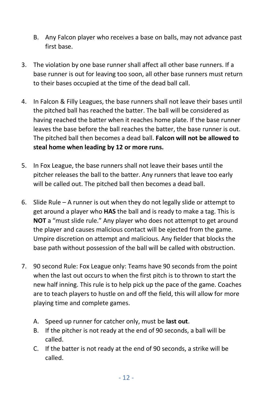- B. Any Falcon player who receives a base on balls, may not advance past first base.
- 3. The violation by one base runner shall affect all other base runners. If a base runner is out for leaving too soon, all other base runners must return to their bases occupied at the time of the dead ball call.
- 4. In Falcon & Filly Leagues, the base runners shall not leave their bases until the pitched ball has reached the batter. The ball will be considered as having reached the batter when it reaches home plate. If the base runner leaves the base before the ball reaches the batter, the base runner is out. The pitched ball then becomes a dead ball. **Falcon will not be allowed to steal home when leading by 12 or more runs.**
- 5. In Fox League, the base runners shall not leave their bases until the pitcher releases the ball to the batter. Any runners that leave too early will be called out. The pitched ball then becomes a dead ball.
- 6. Slide Rule A runner is out when they do not legally slide or attempt to get around a player who **HAS** the ball and is ready to make a tag. This is **NOT** a "must slide rule." Any player who does not attempt to get around the player and causes malicious contact will be ejected from the game. Umpire discretion on attempt and malicious. Any fielder that blocks the base path without possession of the ball will be called with obstruction.
- 7. 90 second Rule: Fox League only: Teams have 90 seconds from the point when the last out occurs to when the first pitch is to thrown to start the new half inning. This rule is to help pick up the pace of the game. Coaches are to teach players to hustle on and off the field, this will allow for more playing time and complete games.
	- A. Speed up runner for catcher only, must be **last out**.
	- B. If the pitcher is not ready at the end of 90 seconds, a ball will be called.
	- C. If the batter is not ready at the end of 90 seconds, a strike will be called.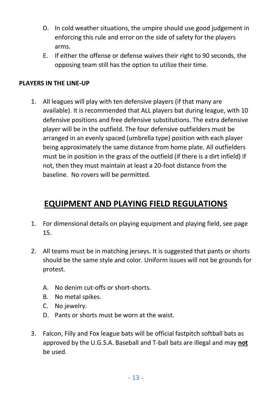- D. In cold weather situations, the umpire should use good judgement in enforcing this rule and error on the side of safety for the players arms.
- E. If either the offense or defense waives their right to 90 seconds, the opposing team still has the option to utilize their time.

#### **PLAYERS IN THE LINE-UP**

1. All leagues will play with ten defensive players (if that many are available). It is recommended that ALL players bat during league, with 10 defensive positions and free defensive substitutions. The extra defensive player will be in the outfield. The four defensive outfielders must be arranged in an evenly spaced (umbrella type) position with each player being approximately the same distance from home plate. All outfielders must be in position in the grass of the outfield (if there is a dirt infield) if not, then they must maintain at least a 20-foot distance from the baseline. No rovers will be permitted.

#### **EQUIPMENT AND PLAYING FIELD REGULATIONS**

- 1. For dimensional details on playing equipment and playing field, see page 15.
- 2. All teams must be in matching jerseys. It is suggested that pants or shorts should be the same style and color. Uniform issues will not be grounds for protest.
	- A. No denim cut-offs or short-shorts.
	- B. No metal spikes.
	- C. No jewelry.
	- D. Pants or shorts must be worn at the waist.
- 3. Falcon, Filly and Fox league bats will be official fastpitch softball bats as approved by the U.G.S.A. Baseball and T-ball bats are illegal and may **not**  be used.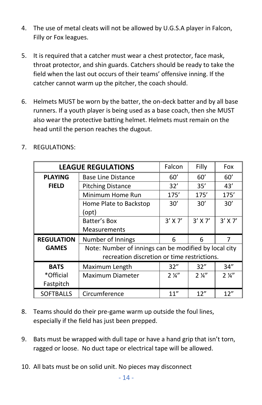- 4. The use of metal cleats will not be allowed by U.G.S.A player in Falcon, Filly or Fox leagues.
- 5. It is required that a catcher must wear a chest protector, face mask, throat protector, and shin guards. Catchers should be ready to take the field when the last out occurs of their teams' offensive inning. If the catcher cannot warm up the pitcher, the coach should.
- 6. Helmets MUST be worn by the batter, the on-deck batter and by all base runners. If a youth player is being used as a base coach, then she MUST also wear the protective batting helmet. Helmets must remain on the head until the person reaches the dugout.

|                        | <b>LEAGUE REGULATIONS</b>                                                                            | Falcon         | Filly          | Fox            |
|------------------------|------------------------------------------------------------------------------------------------------|----------------|----------------|----------------|
| <b>PLAYING</b>         | <b>Base Line Distance</b>                                                                            | 60'            | 60'            | 60'            |
| <b>FIELD</b>           | <b>Pitching Distance</b>                                                                             | 32'            | 35'            | 43'            |
|                        | Minimum Home Run                                                                                     | 175'           | 175'           | 175'           |
|                        | Home Plate to Backstop<br>(opt)                                                                      | 30'            | 30'            | 30'            |
|                        | Batter's Box<br><b>Measurements</b>                                                                  | $3'$ X 7'      | $3'$ X 7'      | $3'$ X 7'      |
| <b>REGULATION</b>      | Number of Innings                                                                                    | 6              | 6              | 7              |
| <b>GAMES</b>           | Note: Number of innings can be modified by local city<br>recreation discretion or time restrictions. |                |                |                |
| <b>BATS</b>            | Maximum Length                                                                                       | 32"            | 32"            | 34''           |
| *Official<br>Fastpitch | Maximum Diameter                                                                                     | $2\frac{1}{4}$ | $2\frac{1}{4}$ | $2\frac{1}{4}$ |
| <b>SOFTBALLS</b>       | Circumference                                                                                        | 11"            | 12"            | 12''           |

7. REGULATIONS:

- 8. Teams should do their pre-game warm up outside the foul lines, especially if the field has just been prepped.
- 9. Bats must be wrapped with dull tape or have a hand grip that isn't torn, ragged or loose. No duct tape or electrical tape will be allowed.
- 10. All bats must be on solid unit. No pieces may disconnect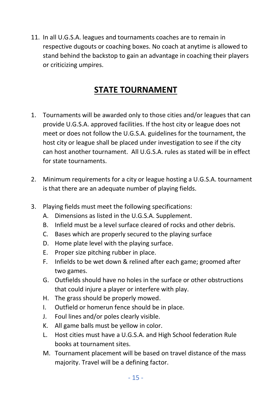11. In all U.G.S.A. leagues and tournaments coaches are to remain in respective dugouts or coaching boxes. No coach at anytime is allowed to stand behind the backstop to gain an advantage in coaching their players or criticizing umpires.

#### **STATE TOURNAMENT**

- 1. Tournaments will be awarded only to those cities and/or leagues that can provide U.G.S.A. approved facilities. If the host city or league does not meet or does not follow the U.G.S.A. guidelines for the tournament, the host city or league shall be placed under investigation to see if the city can host another tournament. All U.G.S.A. rules as stated will be in effect for state tournaments.
- 2. Minimum requirements for a city or league hosting a U.G.S.A. tournament is that there are an adequate number of playing fields.
- 3. Playing fields must meet the following specifications:
	- A. Dimensions as listed in the U.G.S.A. Supplement.
	- B. Infield must be a level surface cleared of rocks and other debris.
	- C. Bases which are properly secured to the playing surface
	- D. Home plate level with the playing surface.
	- E. Proper size pitching rubber in place.
	- F. Infields to be wet down & relined after each game; groomed after two games.
	- G. Outfields should have no holes in the surface or other obstructions that could injure a player or interfere with play.
	- H. The grass should be properly mowed.
	- I. Outfield or homerun fence should be in place.
	- J. Foul lines and/or poles clearly visible.
	- K. All game balls must be yellow in color.
	- L. Host cities must have a U.G.S.A. and High School federation Rule books at tournament sites.
	- M. Tournament placement will be based on travel distance of the mass majority. Travel will be a defining factor.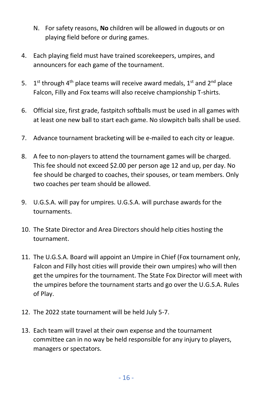- N. For safety reasons, **No** children will be allowed in dugouts or on playing field before or during games.
- 4. Each playing field must have trained scorekeepers, umpires, and announcers for each game of the tournament.
- 5.  $1<sup>st</sup>$  through 4<sup>th</sup> place teams will receive award medals, 1<sup>st</sup> and 2<sup>nd</sup> place Falcon, Filly and Fox teams will also receive championship T-shirts.
- 6. Official size, first grade, fastpitch softballs must be used in all games with at least one new ball to start each game. No slowpitch balls shall be used.
- 7. Advance tournament bracketing will be e-mailed to each city or league.
- 8. A fee to non-players to attend the tournament games will be charged. This fee should not exceed \$2.00 per person age 12 and up, per day. No fee should be charged to coaches, their spouses, or team members. Only two coaches per team should be allowed.
- 9. U.G.S.A. will pay for umpires. U.G.S.A. will purchase awards for the tournaments.
- 10. The State Director and Area Directors should help cities hosting the tournament.
- 11. The U.G.S.A. Board will appoint an Umpire in Chief (Fox tournament only, Falcon and Filly host cities will provide their own umpires) who will then get the umpires for the tournament. The State Fox Director will meet with the umpires before the tournament starts and go over the U.G.S.A. Rules of Play.
- 12. The 2022 state tournament will be held July 5-7.
- 13. Each team will travel at their own expense and the tournament committee can in no way be held responsible for any injury to players, managers or spectators.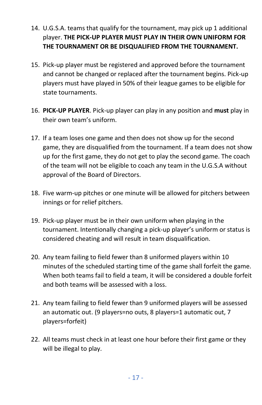- 14. U.G.S.A. teams that qualify for the tournament, may pick up 1 additional player. **THE PICK-UP PLAYER MUST PLAY IN THEIR OWN UNIFORM FOR THE TOURNAMENT OR BE DISQUALIFIED FROM THE TOURNAMENT.**
- 15. Pick-up player must be registered and approved before the tournament and cannot be changed or replaced after the tournament begins. Pick-up players must have played in 50% of their league games to be eligible for state tournaments.
- 16. **PICK-UP PLAYER**. Pick-up player can play in any position and **must** play in their own team's uniform.
- 17. If a team loses one game and then does not show up for the second game, they are disqualified from the tournament. If a team does not show up for the first game, they do not get to play the second game. The coach of the team will not be eligible to coach any team in the U.G.S.A without approval of the Board of Directors.
- 18. Five warm-up pitches or one minute will be allowed for pitchers between innings or for relief pitchers.
- 19. Pick-up player must be in their own uniform when playing in the tournament. Intentionally changing a pick-up player's uniform or status is considered cheating and will result in team disqualification.
- 20. Any team failing to field fewer than 8 uniformed players within 10 minutes of the scheduled starting time of the game shall forfeit the game. When both teams fail to field a team, it will be considered a double forfeit and both teams will be assessed with a loss.
- 21. Any team failing to field fewer than 9 uniformed players will be assessed an automatic out. (9 players=no outs, 8 players=1 automatic out, 7 players=forfeit)
- 22. All teams must check in at least one hour before their first game or they will be illegal to play.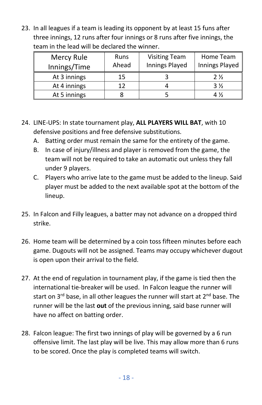23. In all leagues if a team is leading its opponent by at least 15 funs after three innings, 12 runs after four innings or 8 runs after five innings, the team in the lead will be declared the winner.

| Mercy Rule   | Runs  | <b>Visiting Team</b> | Home Team      |
|--------------|-------|----------------------|----------------|
| Innings/Time | Ahead | Innings Played       | Innings Played |
| At 3 innings | 15    |                      | 2 %            |
| At 4 innings | 12    |                      | $3\frac{1}{2}$ |
| At 5 innings |       |                      | 4 %            |

- 24. LINE-UPS: In state tournament play, **ALL PLAYERS WILL BAT**, with 10 defensive positions and free defensive substitutions.
	- A. Batting order must remain the same for the entirety of the game.
	- B. In case of injury/illness and player is removed from the game, the team will not be required to take an automatic out unless they fall under 9 players.
	- C. Players who arrive late to the game must be added to the lineup. Said player must be added to the next available spot at the bottom of the lineup.
- 25. In Falcon and Filly leagues, a batter may not advance on a dropped third strike.
- 26. Home team will be determined by a coin toss fifteen minutes before each game. Dugouts will not be assigned. Teams may occupy whichever dugout is open upon their arrival to the field.
- 27. At the end of regulation in tournament play, if the game is tied then the international tie-breaker will be used. In Falcon league the runner will start on  $3^{rd}$  base, in all other leagues the runner will start at  $2^{nd}$  base. The runner will be the last **out** of the previous inning, said base runner will have no affect on batting order.
- 28. Falcon league: The first two innings of play will be governed by a 6 run offensive limit. The last play will be live. This may allow more than 6 runs to be scored. Once the play is completed teams will switch.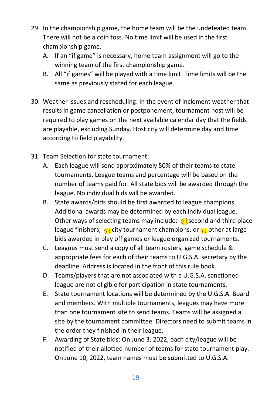- 29. In the championship game, the home team will be the undefeated team. There will not be a coin toss. No time limit will be used in the first championship game.
	- A. If an "if game" is necessary, home team assignment will go to the winning team of the first championship game.
	- B. All "if games" will be played with a time limit. Time limits will be the same as previously stated for each league.
- 30. Weather issues and rescheduling: In the event of inclement weather that results in game cancellation or postponement, tournament host will be required to play games on the next available calendar day that the fields are playable, excluding Sunday. Host city will determine day and time according to field playability.
- 31. Team Selection for state tournament:
	- A. Each league will send approximately 50% of their teams to state tournaments. League teams and percentage will be based on the number of teams paid for. All state bids will be awarded through the league. No individual bids will be awarded.
	- B. State awards/bids should be first awarded to league champions. Additional awards may be determined by each individual league. Other ways of selecting teams may include:  $\bigcirc$  second and third place league finishers,  $\int$  city tournament champions, or  $\int$  other at large bids awarded in play off games or league organized tournaments.
	- C. Leagues must send a copy of all team rosters, game schedule & appropriate fees for each of their teams to U.G.S.A. secretary by the deadline. Address is located in the front of this rule book.
	- D. Teams/players that are not associated with a U.G.S.A. sanctioned league are not eligible for participation in state tournaments.
	- E. State tournament locations will be determined by the U.G.S.A. Board and members. With multiple tournaments, leagues may have more than one tournament site to send teams. Teams will be assigned a site by the tournament committee. Directors need to submit teams in the order they finished in their league.
	- F. Awarding of State bids: On June 3, 2022, each city/league will be notified of their allotted number of teams for state tournament play. On June 10, 2022, team names must be submitted to U.G.S.A.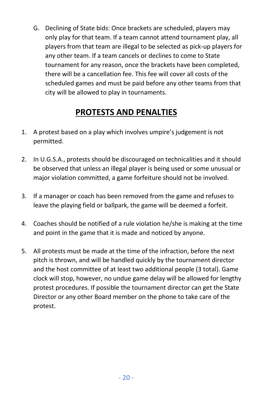G. Declining of State bids: Once brackets are scheduled, players may only play for that team. If a team cannot attend tournament play, all players from that team are illegal to be selected as pick-up players for any other team. If a team cancels or declines to come to State tournament for any reason, once the brackets have been completed, there will be a cancellation fee. This fee will cover all costs of the scheduled games and must be paid before any other teams from that city will be allowed to play in tournaments.

#### **PROTESTS AND PENALTIES**

- 1. A protest based on a play which involves umpire's judgement is not permitted.
- 2. In U.G.S.A., protests should be discouraged on technicalities and it should be observed that unless an illegal player is being used or some unusual or major violation committed, a game forfeiture should not be involved.
- 3. If a manager or coach has been removed from the game and refuses to leave the playing field or ballpark, the game will be deemed a forfeit.
- 4. Coaches should be notified of a rule violation he/she is making at the time and point in the game that it is made and noticed by anyone.
- 5. All protests must be made at the time of the infraction, before the next pitch is thrown, and will be handled quickly by the tournament director and the host committee of at least two additional people (3 total). Game clock will stop, however, no undue game delay will be allowed for lengthy protest procedures. If possible the tournament director can get the State Director or any other Board member on the phone to take care of the protest.